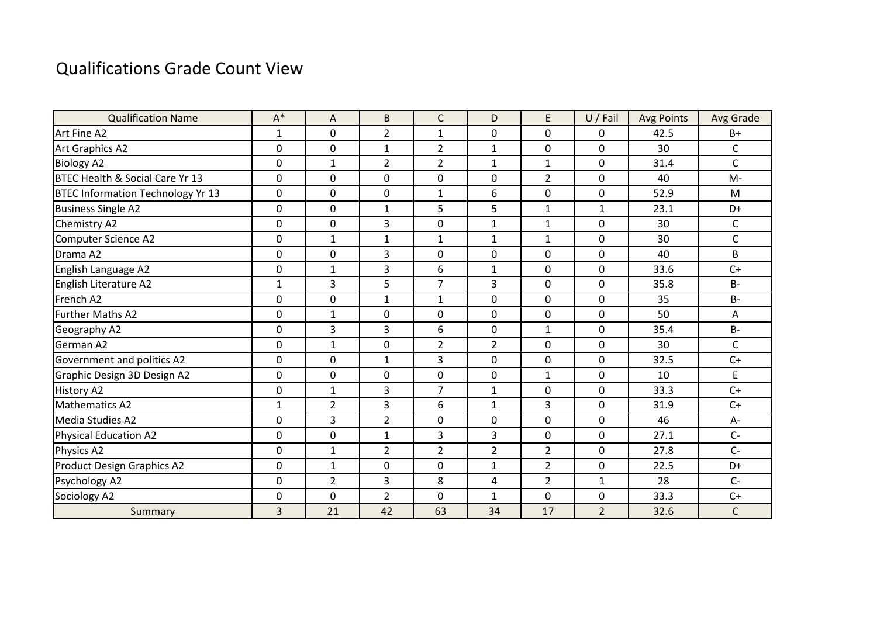## Qualifications Grade Count View

| <b>Qualification Name</b>                | $A^*$        | A              | B              | C              | D              | E              | $U /$ Fail     | <b>Avg Points</b> | Avg Grade    |
|------------------------------------------|--------------|----------------|----------------|----------------|----------------|----------------|----------------|-------------------|--------------|
| Art Fine A2                              | $\mathbf{1}$ | $\mathbf{0}$   | $\overline{2}$ | 1              | $\mathbf 0$    | $\overline{0}$ | 0              | 42.5              | $B+$         |
| Art Graphics A2                          | 0            | $\mathbf 0$    | $\mathbf{1}$   | 2              | $\mathbf{1}$   | $\mathbf 0$    | 0              | 30                | C            |
| <b>Biology A2</b>                        | 0            | $\mathbf{1}$   | $\overline{2}$ | $\overline{2}$ | $\mathbf{1}$   | $\mathbf{1}$   | 0              | 31.4              | $\mathsf{C}$ |
| BTEC Health & Social Care Yr 13          | $\mathbf 0$  | $\mathbf 0$    | $\mathbf 0$    | $\mathbf 0$    | 0              | $\overline{2}$ | 0              | 40                | $M -$        |
| <b>BTEC Information Technology Yr 13</b> | 0            | $\mathbf{0}$   | $\mathbf 0$    | $\mathbf{1}$   | 6              | $\overline{0}$ | 0              | 52.9              | M            |
| <b>Business Single A2</b>                | 0            | $\mathbf{0}$   | $\mathbf{1}$   | 5              | 5              | $\mathbf{1}$   | 1              | 23.1              | D+           |
| <b>Chemistry A2</b>                      | 0            | $\mathbf{0}$   | $\overline{3}$ | $\mathbf 0$    | 1              | $\mathbf{1}$   | 0              | 30                | C            |
| Computer Science A2                      | $\mathbf 0$  | $\mathbf{1}$   | $\mathbf{1}$   | $\mathbf{1}$   | 1              | $\mathbf{1}$   | 0              | 30                | $\mathsf C$  |
| Drama A2                                 | 0            | $\mathbf 0$    | 3              | 0              | 0              | $\mathbf 0$    | 0              | 40                | B            |
| English Language A2                      | 0            | $\mathbf{1}$   | 3              | 6              | $\mathbf{1}$   | $\mathbf 0$    | 0              | 33.6              | $C+$         |
| English Literature A2                    | $\mathbf{1}$ | 3              | 5              | 7              | 3              | $\mathbf 0$    | 0              | 35.8              | <b>B-</b>    |
| French A2                                | $\mathbf 0$  | $\mathbf{0}$   | $\mathbf{1}$   | $\mathbf{1}$   | $\overline{0}$ | $\overline{0}$ | 0              | 35                | $B -$        |
| <b>Further Maths A2</b>                  | 0            | $\mathbf{1}$   | $\mathbf 0$    | $\mathbf{0}$   | $\overline{0}$ | $\Omega$       | 0              | 50                | Α            |
| Geography A2                             | 0            | 3              | 3              | 6              | 0              | $\mathbf{1}$   | 0              | 35.4              | $B -$        |
| <b>German A2</b>                         | $\mathbf 0$  | $\mathbf{1}$   | $\mathbf 0$    | $\overline{2}$ | $\overline{2}$ | $\mathbf 0$    | 0              | 30                | C            |
| Government and politics A2               | $\mathbf 0$  | $\mathbf{0}$   | $\mathbf{1}$   | 3              | 0              | $\overline{0}$ | 0              | 32.5              | $C+$         |
| Graphic Design 3D Design A2              | 0            | $\mathbf{0}$   | $\mathbf 0$    | $\mathbf 0$    | 0              | $\mathbf{1}$   | 0              | 10                | E            |
| <b>History A2</b>                        | 0            | $\mathbf{1}$   | 3              | $\overline{7}$ | $\mathbf{1}$   | $\mathbf 0$    | 0              | 33.3              | $C+$         |
| <b>Mathematics A2</b>                    | $\mathbf{1}$ | $\overline{2}$ | $\overline{3}$ | 6              | $\mathbf{1}$   | $\overline{3}$ | 0              | 31.9              | $C+$         |
| Media Studies A2                         | $\mathbf 0$  | $\overline{3}$ | $\overline{2}$ | $\mathbf{0}$   | $\mathbf 0$    | $\overline{0}$ | 0              | 46                | $A-$         |
| <b>Physical Education A2</b>             | 0            | $\mathbf{0}$   | $\mathbf{1}$   | 3              | 3              | $\mathbf 0$    | 0              | 27.1              | $C -$        |
| Physics A2                               | 0            | $\mathbf{1}$   | $\overline{2}$ | $\overline{2}$ | $\overline{2}$ | $\overline{2}$ | 0              | 27.8              | $C -$        |
| <b>Product Design Graphics A2</b>        | $\mathbf 0$  | $\mathbf{1}$   | $\mathbf 0$    | 0              | $\mathbf{1}$   | $\overline{2}$ | 0              | 22.5              | D+           |
| Psychology A2                            | $\mathbf 0$  | $\overline{2}$ | $\overline{3}$ | 8              | 4              | $\overline{2}$ | $\mathbf{1}$   | 28                | $C -$        |
| Sociology A2                             | 0            | $\mathbf 0$    | $\overline{2}$ | $\mathbf{0}$   | $\mathbf{1}$   | $\mathbf 0$    | 0              | 33.3              | $C+$         |
| Summary                                  | 3            | 21             | 42             | 63             | 34             | 17             | $\overline{2}$ | 32.6              | $\mathsf{C}$ |